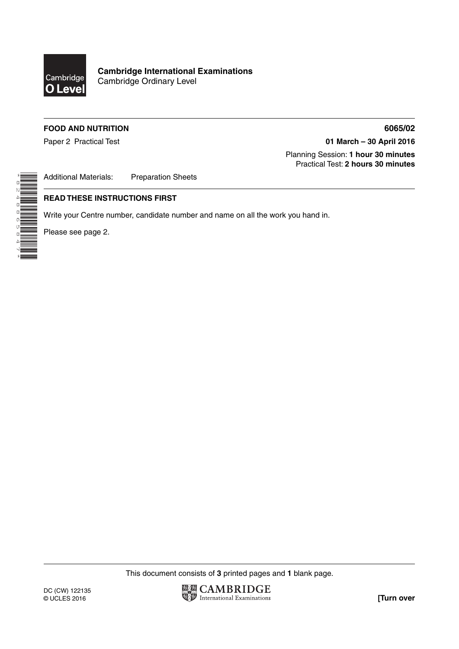

**Cambridge International Examinations** Cambridge Ordinary Level

## **FOOD AND NUTRITION 6065/02**

Paper 2 Practical Test **01 March – 30 April 2016**

 Planning Session: **1 hour 30 minutes** Practical Test: **2 hours 30 minutes**

Additional Materials: Preparation Sheets

## **READ THESE INSTRUCTIONS FIRST**

Write your Centre number, candidate number and name on all the work you hand in.

Please see page 2.

\*8248865847\*

This document consists of **3** printed pages and **1** blank page.

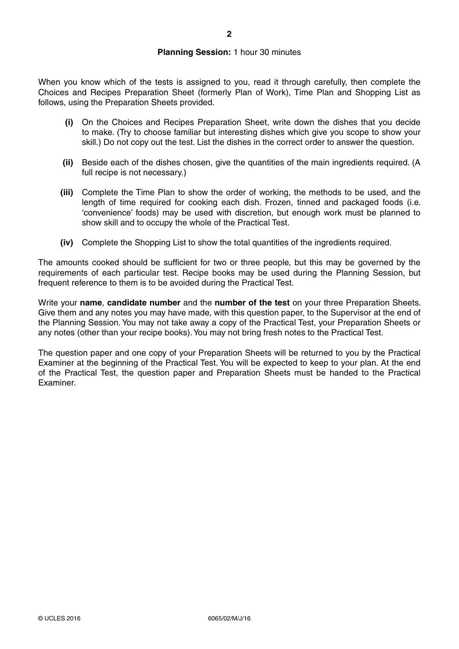When you know which of the tests is assigned to you, read it through carefully, then complete the Choices and Recipes Preparation Sheet (formerly Plan of Work), Time Plan and Shopping List as follows, using the Preparation Sheets provided.

- **(i)** On the Choices and Recipes Preparation Sheet, write down the dishes that you decide to make. (Try to choose familiar but interesting dishes which give you scope to show your skill.) Do not copy out the test. List the dishes in the correct order to answer the question.
- **(ii)** Beside each of the dishes chosen, give the quantities of the main ingredients required. (A full recipe is not necessary.)
- **(iii)** Complete the Time Plan to show the order of working, the methods to be used, and the length of time required for cooking each dish. Frozen, tinned and packaged foods (i.e. 'convenience' foods) may be used with discretion, but enough work must be planned to show skill and to occupy the whole of the Practical Test.
- **(iv)** Complete the Shopping List to show the total quantities of the ingredients required.

The amounts cooked should be sufficient for two or three people, but this may be governed by the requirements of each particular test. Recipe books may be used during the Planning Session, but frequent reference to them is to be avoided during the Practical Test.

Write your **name**, **candidate number** and the **number of the test** on your three Preparation Sheets. Give them and any notes you may have made, with this question paper, to the Supervisor at the end of the Planning Session. You may not take away a copy of the Practical Test, your Preparation Sheets or any notes (other than your recipe books). You may not bring fresh notes to the Practical Test.

The question paper and one copy of your Preparation Sheets will be returned to you by the Practical Examiner at the beginning of the Practical Test. You will be expected to keep to your plan. At the end of the Practical Test, the question paper and Preparation Sheets must be handed to the Practical Examiner.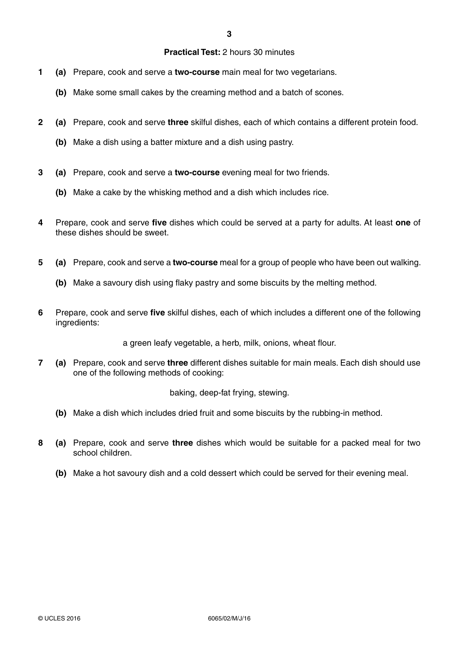## **Practical Test:** 2 hours 30 minutes

- **1 (a)** Prepare, cook and serve a **two-course** main meal for two vegetarians.
	- **(b)** Make some small cakes by the creaming method and a batch of scones.
- **2 (a)** Prepare, cook and serve **three** skilful dishes, each of which contains a different protein food.
	- **(b)** Make a dish using a batter mixture and a dish using pastry.
- **3 (a)** Prepare, cook and serve a **two-course** evening meal for two friends.
	- **(b)** Make a cake by the whisking method and a dish which includes rice.
- **4** Prepare, cook and serve **five** dishes which could be served at a party for adults. At least **one** of these dishes should be sweet.
- **5 (a)** Prepare, cook and serve a **two-course** meal for a group of people who have been out walking.
	- **(b)** Make a savoury dish using flaky pastry and some biscuits by the melting method.
- **6** Prepare, cook and serve **five** skilful dishes, each of which includes a different one of the following ingredients:

a green leafy vegetable, a herb, milk, onions, wheat flour.

**7 (a)** Prepare, cook and serve **three** different dishes suitable for main meals. Each dish should use one of the following methods of cooking:

baking, deep-fat frying, stewing.

- **(b)** Make a dish which includes dried fruit and some biscuits by the rubbing-in method.
- **8 (a)** Prepare, cook and serve **three** dishes which would be suitable for a packed meal for two school children.
	- **(b)** Make a hot savoury dish and a cold dessert which could be served for their evening meal.